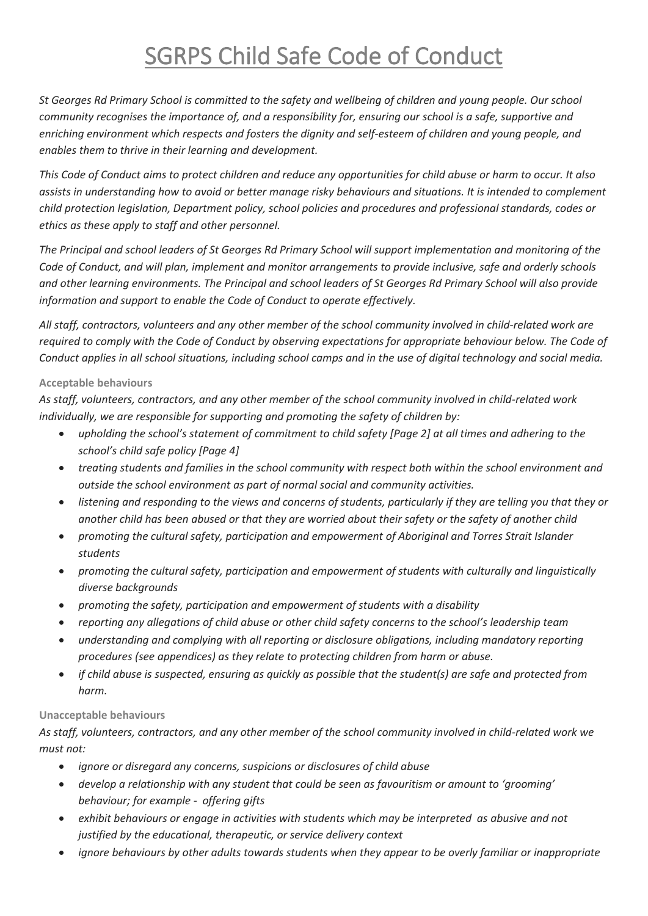## SGRPS Child Safe Code of Conduct

*St Georges Rd Primary School is committed to the safety and wellbeing of children and young people. Our school community recognises the importance of, and a responsibility for, ensuring our school is a safe, supportive and enriching environment which respects and fosters the dignity and self-esteem of children and young people, and enables them to thrive in their learning and development.* 

*This Code of Conduct aims to protect children and reduce any opportunities for child abuse or harm to occur. It also assists in understanding how to avoid or better manage risky behaviours and situations. It is intended to complement child protection legislation, Department policy, school policies and procedures and professional standards, codes or ethics as these apply to staff and other personnel.*

*The Principal and school leaders of St Georges Rd Primary School will support implementation and monitoring of the Code of Conduct, and will plan, implement and monitor arrangements to provide inclusive, safe and orderly schools and other learning environments. The Principal and school leaders of St Georges Rd Primary School will also provide information and support to enable the Code of Conduct to operate effectively.* 

*All staff, contractors, volunteers and any other member of the school community involved in child-related work are required to comply with the Code of Conduct by observing expectations for appropriate behaviour below. The Code of Conduct applies in all school situations, including school camps and in the use of digital technology and social media.*

## **Acceptable behaviours**

*As staff, volunteers, contractors, and any other member of the school community involved in child-related work individually, we are responsible for supporting and promoting the safety of children by:*

- *upholding the school's statement of commitment to child safety [Page 2] at all times and adhering to the school's child safe policy [Page 4]*
- *treating students and families in the school community with respect both within the school environment and outside the school environment as part of normal social and community activities.*
- *listening and responding to the views and concerns of students, particularly if they are telling you that they or another child has been abused or that they are worried about their safety or the safety of another child*
- *promoting the cultural safety, participation and empowerment of Aboriginal and Torres Strait Islander students*
- *promoting the cultural safety, participation and empowerment of students with culturally and linguistically diverse backgrounds*
- *promoting the safety, participation and empowerment of students with a disability*
- *reporting any allegations of child abuse or other child safety concerns to the school's leadership team*
- *understanding and complying with all reporting or disclosure obligations, including mandatory reporting procedures (see appendices) as they relate to protecting children from harm or abuse.*
- *if child abuse is suspected, ensuring as quickly as possible that the student(s) are safe and protected from harm.*

## **Unacceptable behaviours**

*As staff, volunteers, contractors, and any other member of the school community involved in child-related work we must not:*

- *ignore or disregard any concerns, suspicions or disclosures of child abuse*
- *develop a relationship with any student that could be seen as favouritism or amount to 'grooming' behaviour; for example - offering gifts*
- *exhibit behaviours or engage in activities with students which may be interpreted as abusive and not justified by the educational, therapeutic, or service delivery context*
- *ignore behaviours by other adults towards students when they appear to be overly familiar or inappropriate*